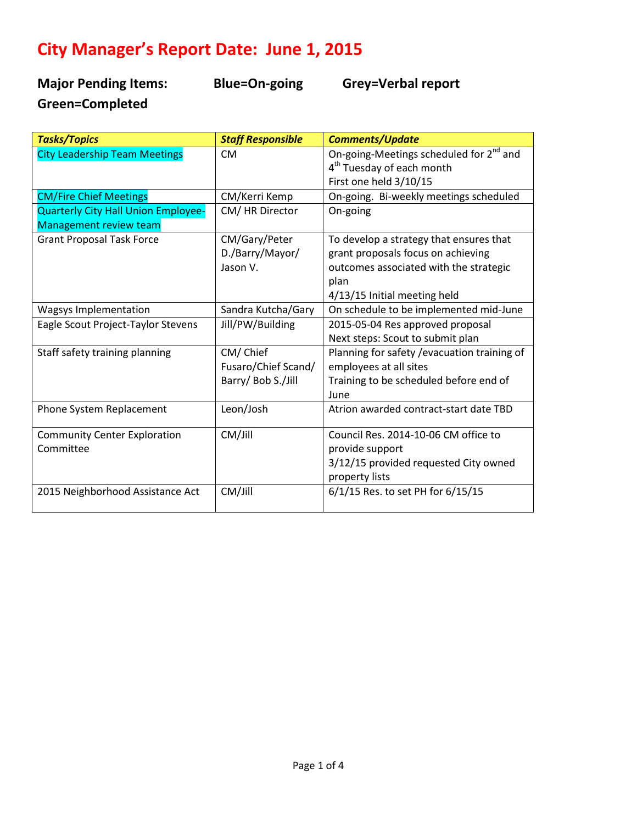# **City Manager's Report Date: June 1, 2015**

**Major Pending Items: Blue=On-going Grey=Verbal report Green=Completed** 

| <b>Tasks/Topics</b>                        | <b>Staff Responsible</b> | <b>Comments/Update</b>                              |
|--------------------------------------------|--------------------------|-----------------------------------------------------|
| <b>City Leadership Team Meetings</b>       | <b>CM</b>                | On-going-Meetings scheduled for 2 <sup>nd</sup> and |
|                                            |                          | 4 <sup>th</sup> Tuesday of each month               |
|                                            |                          | First one held 3/10/15                              |
| <b>CM/Fire Chief Meetings</b>              | CM/Kerri Kemp            | On-going. Bi-weekly meetings scheduled              |
| <b>Quarterly City Hall Union Employee-</b> | CM/HR Director           | On-going                                            |
| Management review team                     |                          |                                                     |
| <b>Grant Proposal Task Force</b>           | CM/Gary/Peter            | To develop a strategy that ensures that             |
|                                            | D./Barry/Mayor/          | grant proposals focus on achieving                  |
|                                            | Jason V.                 | outcomes associated with the strategic              |
|                                            |                          | plan                                                |
|                                            |                          | 4/13/15 Initial meeting held                        |
| Wagsys Implementation                      | Sandra Kutcha/Gary       | On schedule to be implemented mid-June              |
| Eagle Scout Project-Taylor Stevens         | Jill/PW/Building         | 2015-05-04 Res approved proposal                    |
|                                            |                          | Next steps: Scout to submit plan                    |
| Staff safety training planning             | CM/Chief                 | Planning for safety / evacuation training of        |
|                                            | Fusaro/Chief Scand/      | employees at all sites                              |
|                                            | Barry/ Bob S./Jill       | Training to be scheduled before end of              |
|                                            |                          | June                                                |
| Phone System Replacement                   | Leon/Josh                | Atrion awarded contract-start date TBD              |
| <b>Community Center Exploration</b>        | CM/Jill                  | Council Res. 2014-10-06 CM office to                |
| Committee                                  |                          | provide support                                     |
|                                            |                          | 3/12/15 provided requested City owned               |
|                                            |                          | property lists                                      |
| 2015 Neighborhood Assistance Act           | CM/Jill                  | 6/1/15 Res. to set PH for 6/15/15                   |
|                                            |                          |                                                     |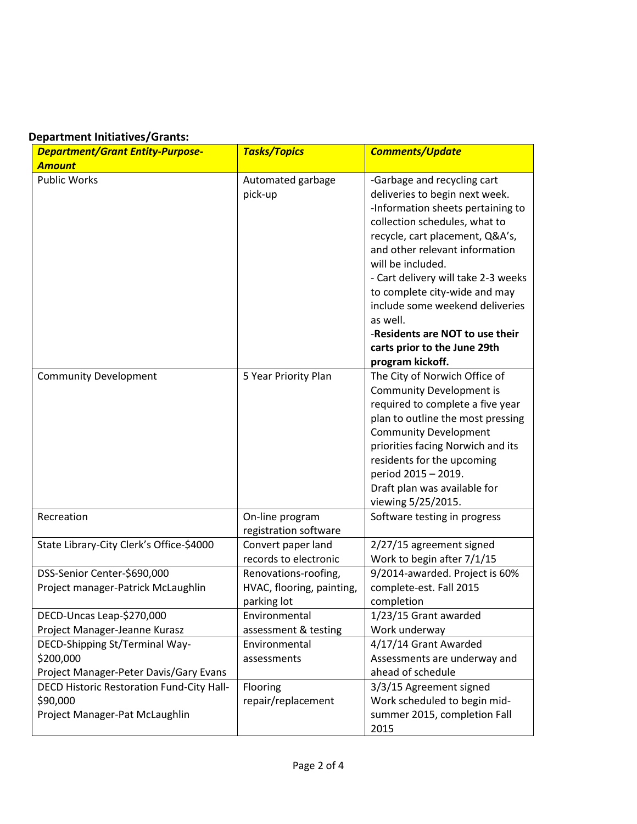### **Department Initiatives/Grants:**

| <b>Department/Grant Entity-Purpose-</b>                                                        | <b>Tasks/Topics</b>                                              | <b>Comments/Update</b>                                                                                                                                                                                                                                                                                                                                                                                                                      |
|------------------------------------------------------------------------------------------------|------------------------------------------------------------------|---------------------------------------------------------------------------------------------------------------------------------------------------------------------------------------------------------------------------------------------------------------------------------------------------------------------------------------------------------------------------------------------------------------------------------------------|
| <b>Amount</b>                                                                                  |                                                                  |                                                                                                                                                                                                                                                                                                                                                                                                                                             |
| <b>Public Works</b>                                                                            | Automated garbage<br>pick-up                                     | -Garbage and recycling cart<br>deliveries to begin next week.<br>-Information sheets pertaining to<br>collection schedules, what to<br>recycle, cart placement, Q&A's,<br>and other relevant information<br>will be included.<br>- Cart delivery will take 2-3 weeks<br>to complete city-wide and may<br>include some weekend deliveries<br>as well.<br>-Residents are NOT to use their<br>carts prior to the June 29th<br>program kickoff. |
| <b>Community Development</b>                                                                   | 5 Year Priority Plan                                             | The City of Norwich Office of<br><b>Community Development is</b><br>required to complete a five year<br>plan to outline the most pressing<br><b>Community Development</b><br>priorities facing Norwich and its<br>residents for the upcoming<br>period 2015 - 2019.<br>Draft plan was available for<br>viewing 5/25/2015.                                                                                                                   |
| Recreation                                                                                     | On-line program<br>registration software                         | Software testing in progress                                                                                                                                                                                                                                                                                                                                                                                                                |
| State Library-City Clerk's Office-\$4000                                                       | Convert paper land<br>records to electronic                      | 2/27/15 agreement signed<br>Work to begin after 7/1/15                                                                                                                                                                                                                                                                                                                                                                                      |
| DSS-Senior Center-\$690,000<br>Project manager-Patrick McLaughlin                              | Renovations-roofing,<br>HVAC, flooring, painting,<br>parking lot | 9/2014-awarded. Project is 60%<br>complete-est. Fall 2015<br>completion                                                                                                                                                                                                                                                                                                                                                                     |
| DECD-Uncas Leap-\$270,000<br>Project Manager-Jeanne Kurasz                                     | Environmental<br>assessment & testing                            | 1/23/15 Grant awarded<br>Work underway                                                                                                                                                                                                                                                                                                                                                                                                      |
| DECD-Shipping St/Terminal Way-                                                                 | Environmental                                                    | 4/17/14 Grant Awarded                                                                                                                                                                                                                                                                                                                                                                                                                       |
| \$200,000                                                                                      | assessments                                                      | Assessments are underway and                                                                                                                                                                                                                                                                                                                                                                                                                |
| Project Manager-Peter Davis/Gary Evans                                                         |                                                                  | ahead of schedule                                                                                                                                                                                                                                                                                                                                                                                                                           |
| <b>DECD Historic Restoration Fund-City Hall-</b><br>\$90,000<br>Project Manager-Pat McLaughlin | Flooring<br>repair/replacement                                   | 3/3/15 Agreement signed<br>Work scheduled to begin mid-<br>summer 2015, completion Fall<br>2015                                                                                                                                                                                                                                                                                                                                             |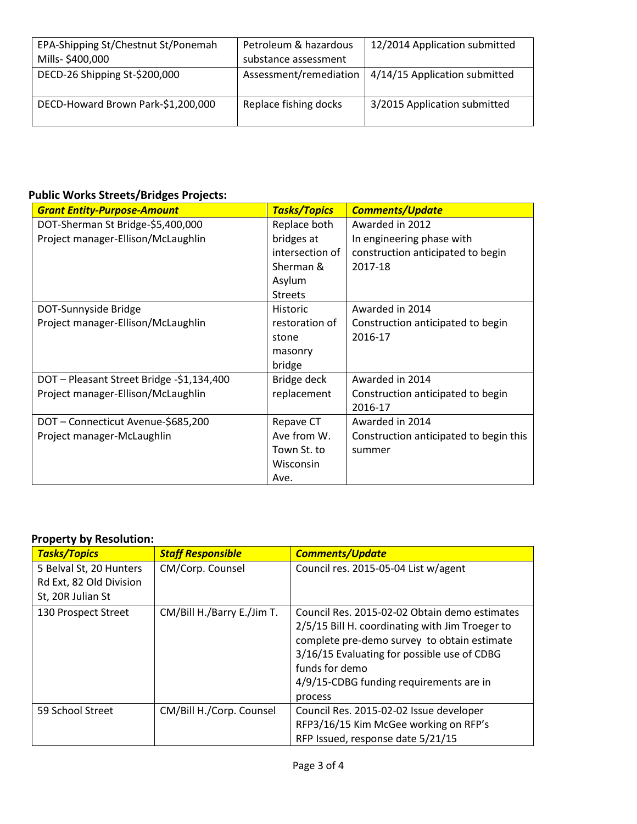| EPA-Shipping St/Chestnut St/Ponemah<br>Mills-\$400,000 | Petroleum & hazardous<br>substance assessment | 12/2014 Application submitted |
|--------------------------------------------------------|-----------------------------------------------|-------------------------------|
| DECD-26 Shipping St-\$200,000                          | Assessment/remediation                        | 4/14/15 Application submitted |
| DECD-Howard Brown Park-\$1,200,000                     | Replace fishing docks                         | 3/2015 Application submitted  |

## **Public Works Streets/Bridges Projects:**

| <b>Grant Entity-Purpose-Amount</b>        | <b>Tasks/Topics</b> | <b>Comments/Update</b>                 |
|-------------------------------------------|---------------------|----------------------------------------|
| DOT-Sherman St Bridge-\$5,400,000         | Replace both        | Awarded in 2012                        |
| Project manager-Ellison/McLaughlin        | bridges at          | In engineering phase with              |
|                                           | intersection of     | construction anticipated to begin      |
|                                           | Sherman &           | 2017-18                                |
|                                           | Asylum              |                                        |
|                                           | <b>Streets</b>      |                                        |
| DOT-Sunnyside Bridge                      | <b>Historic</b>     | Awarded in 2014                        |
| Project manager-Ellison/McLaughlin        | restoration of      | Construction anticipated to begin      |
|                                           | stone               | 2016-17                                |
|                                           | masonry             |                                        |
|                                           | bridge              |                                        |
| DOT - Pleasant Street Bridge -\$1,134,400 | Bridge deck         | Awarded in 2014                        |
| Project manager-Ellison/McLaughlin        | replacement         | Construction anticipated to begin      |
|                                           |                     | 2016-17                                |
| DOT - Connecticut Avenue-\$685,200        | Repave CT           | Awarded in 2014                        |
| Project manager-McLaughlin                | Ave from W.         | Construction anticipated to begin this |
|                                           | Town St. to         | summer                                 |
|                                           | Wisconsin           |                                        |
|                                           | Ave.                |                                        |

#### **Property by Resolution:**

| <b>Tasks/Topics</b>     | <b>Staff Responsible</b>   | <b>Comments/Update</b>                          |
|-------------------------|----------------------------|-------------------------------------------------|
| 5 Belval St, 20 Hunters | CM/Corp. Counsel           | Council res. 2015-05-04 List w/agent            |
| Rd Ext, 82 Old Division |                            |                                                 |
| St, 20R Julian St       |                            |                                                 |
| 130 Prospect Street     | CM/Bill H./Barry E./Jim T. | Council Res. 2015-02-02 Obtain demo estimates   |
|                         |                            | 2/5/15 Bill H. coordinating with Jim Troeger to |
|                         |                            | complete pre-demo survey to obtain estimate     |
|                         |                            | 3/16/15 Evaluating for possible use of CDBG     |
|                         |                            | funds for demo                                  |
|                         |                            | 4/9/15-CDBG funding requirements are in         |
|                         |                            | process                                         |
| 59 School Street        | CM/Bill H./Corp. Counsel   | Council Res. 2015-02-02 Issue developer         |
|                         |                            | RFP3/16/15 Kim McGee working on RFP's           |
|                         |                            | RFP Issued, response date 5/21/15               |